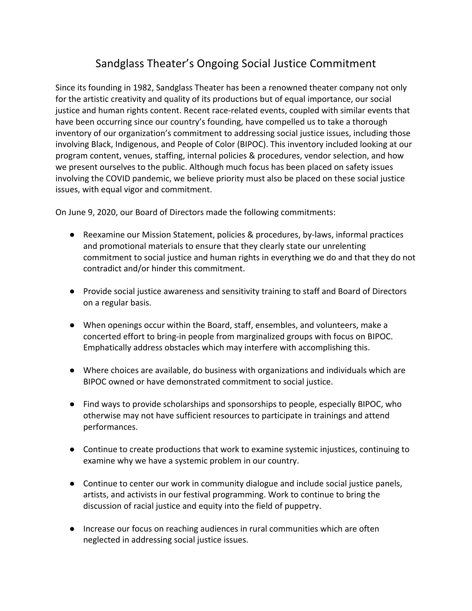## Sandglass Theater's Ongoing Social Justice Commitment

Since its founding in 1982, Sandglass Theater has been a renowned theater company not only for the artistic creativity and quality of its productions but of equal importance, our social justice and human rights content. Recent race-related events, coupled with similar events that have been occurring since our country's founding, have compelled us to take a thorough inventory of our organization's commitment to addressing social justice issues, including those involving Black, Indigenous, and People of Color (BIPOC). This inventory included looking at our program content, venues, staffing, internal policies & procedures, vendor selection, and how we present ourselves to the public. Although much focus has been placed on safety issues involving the COVID pandemic, we believe priority must also be placed on these social justice issues, with equal vigor and commitment.

On June 9, 2020, our Board of Directors made the following commitments:

- Reexamine our Mission Statement, policies & procedures, by-laws, informal practices and promotional materials to ensure that they clearly state our unrelenting commitment to social justice and human rights in everything we do and that they do not contradict and/or hinder this commitment.
- Provide social justice awareness and sensitivity training to staff and Board of Directors on a regular basis.
- When openings occur within the Board, staff, ensembles, and volunteers, make a concerted effort to bring-in people from marginalized groups with focus on BIPOC. Emphatically address obstacles which may interfere with accomplishing this.
- Where choices are available, do business with organizations and individuals which are BIPOC owned or have demonstrated commitment to social justice.
- Find ways to provide scholarships and sponsorships to people, especially BIPOC, who otherwise may not have sufficient resources to participate in trainings and attend performances.
- Continue to create productions that work to examine systemic injustices, continuing to examine why we have a systemic problem in our country.
- Continue to center our work in community dialogue and include social justice panels, artists, and activists in our festival programming. Work to continue to bring the discussion of racial justice and equity into the field of puppetry.
- Increase our focus on reaching audiences in rural communities which are often neglected in addressing social justice issues.